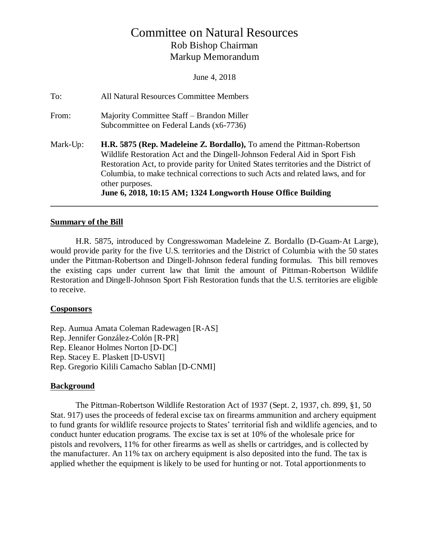# Committee on Natural Resources Rob Bishop Chairman Markup Memorandum

June 4, 2018

| To:      | <b>All Natural Resources Committee Members</b>                                                                                                                                                                                                                                                                                                                                                                    |
|----------|-------------------------------------------------------------------------------------------------------------------------------------------------------------------------------------------------------------------------------------------------------------------------------------------------------------------------------------------------------------------------------------------------------------------|
| From:    | Majority Committee Staff – Brandon Miller<br>Subcommittee on Federal Lands (x6-7736)                                                                                                                                                                                                                                                                                                                              |
| Mark-Up: | H.R. 5875 (Rep. Madeleine Z. Bordallo), To amend the Pittman-Robertson<br>Wildlife Restoration Act and the Dingell-Johnson Federal Aid in Sport Fish<br>Restoration Act, to provide parity for United States territories and the District of<br>Columbia, to make technical corrections to such Acts and related laws, and for<br>other purposes.<br>June 6, 2018, 10:15 AM; 1324 Longworth House Office Building |

#### **Summary of the Bill**

H.R. 5875, introduced by Congresswoman Madeleine Z. Bordallo (D-Guam-At Large), would provide parity for the five U.S. territories and the District of Columbia with the 50 states under the Pittman-Robertson and Dingell-Johnson federal funding formulas. This bill removes the existing caps under current law that limit the amount of Pittman-Robertson Wildlife Restoration and Dingell-Johnson Sport Fish Restoration funds that the U.S. territories are eligible to receive.

#### **Cosponsors**

Rep. Aumua Amata Coleman Radewagen [R-AS] Rep. Jennifer González-Colón [R-PR] Rep. Eleanor Holmes Norton [D-DC] Rep. Stacey E. Plaskett [D-USVI] Rep. Gregorio Kilili Camacho Sablan [D-CNMI]

#### **Background**

The Pittman-Robertson Wildlife Restoration Act of 1937 (Sept. 2, 1937, ch. 899, §1, 50 Stat. 917) uses the proceeds of federal excise tax on firearms ammunition and archery equipment to fund grants for wildlife resource projects to States' territorial fish and wildlife agencies, and to conduct hunter education programs. The excise tax is set at 10% of the wholesale price for pistols and revolvers, 11% for other firearms as well as shells or cartridges, and is collected by the manufacturer. An 11% tax on archery equipment is also deposited into the fund. The tax is applied whether the equipment is likely to be used for hunting or not. Total apportionments to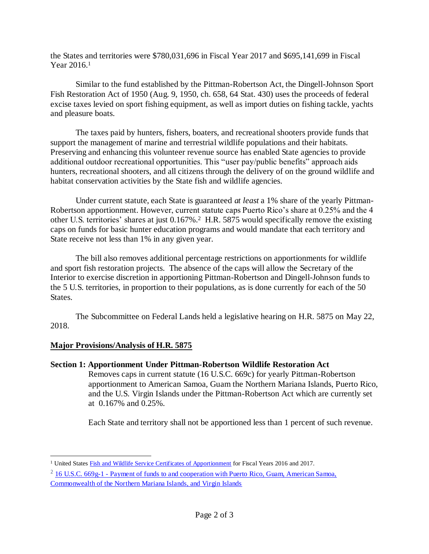the States and territories were \$780,031,696 in Fiscal Year 2017 and \$695,141,699 in Fiscal Year  $2016.<sup>1</sup>$ 

Similar to the fund established by the Pittman-Robertson Act, the Dingell-Johnson Sport Fish Restoration Act of 1950 (Aug. 9, 1950, ch. 658, 64 Stat. 430) uses the proceeds of federal excise taxes levied on sport fishing equipment, as well as import duties on fishing tackle, yachts and pleasure boats.

The taxes paid by hunters, fishers, boaters, and recreational shooters provide funds that support the management of marine and terrestrial wildlife populations and their habitats. Preserving and enhancing this volunteer revenue source has enabled State agencies to provide additional outdoor recreational opportunities. This "user pay/public benefits" approach aids hunters, recreational shooters, and all citizens through the delivery of on the ground wildlife and habitat conservation activities by the State fish and wildlife agencies.

Under current statute, each State is guaranteed *at least* a 1% share of the yearly Pittman-Robertson apportionment. However, current statute caps Puerto Rico's share at 0.25% and the 4 other U.S. territories' shares at just 0.167%.<sup>2</sup> H.R. 5875 would specifically remove the existing caps on funds for basic hunter education programs and would mandate that each territory and State receive not less than 1% in any given year.

The bill also removes additional percentage restrictions on apportionments for wildlife and sport fish restoration projects. The absence of the caps will allow the Secretary of the Interior to exercise discretion in apportioning Pittman-Robertson and Dingell-Johnson funds to the 5 U.S. territories, in proportion to their populations, as is done currently for each of the 50 States.

The Subcommittee on Federal Lands held a legislative hearing on H.R. 5875 on May 22, 2018.

#### **Major Provisions/Analysis of H.R. 5875**

#### **Section 1: Apportionment Under Pittman-Robertson Wildlife Restoration Act**

Removes caps in current statute (16 U.S.C. 669c) for yearly Pittman-Robertson apportionment to American Samoa, Guam the Northern Mariana Islands, Puerto Rico, and the U.S. Virgin Islands under the Pittman-Robertson Act which are currently set at 0.167% and 0.25%.

Each State and territory shall not be apportioned less than 1 percent of such revenue.

 $\overline{a}$ <sup>1</sup> United State[s Fish and Wildlife Service Certificates of Apportionment](https://wsfrprograms.fws.gov/Subpages/GrantPrograms/WR/WR_Funding.htm) for Fiscal Years 2016 and 2017.

<sup>&</sup>lt;sup>2</sup> 16 U.S.C. 669g-1 - Payment of funds to and cooperation with Puerto Rico, Guam, American Samoa,

[Commonwealth of the Northern Mariana Islands, and Virgin Islands](https://www.gpo.gov/fdsys/pkg/USCODE-2013-title16/html/USCODE-2013-title16-chap5B-sec669g-1.htm)